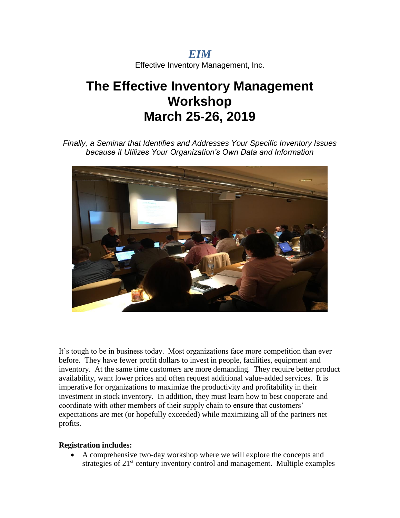*EIM* Effective Inventory Management, Inc.

# **The Effective Inventory Management Workshop March 25-26, 2019**

*Finally, a Seminar that Identifies and Addresses Your Specific Inventory Issues because it Utilizes Your Organization's Own Data and Information*



It's tough to be in business today. Most organizations face more competition than ever before. They have fewer profit dollars to invest in people, facilities, equipment and inventory. At the same time customers are more demanding. They require better product availability, want lower prices and often request additional value-added services. It is imperative for organizations to maximize the productivity and profitability in their investment in stock inventory. In addition, they must learn how to best cooperate and coordinate with other members of their supply chain to ensure that customers' expectations are met (or hopefully exceeded) while maximizing all of the partners net profits.

#### **Registration includes:**

 A comprehensive two-day workshop where we will explore the concepts and strategies of  $21<sup>st</sup>$  century inventory control and management. Multiple examples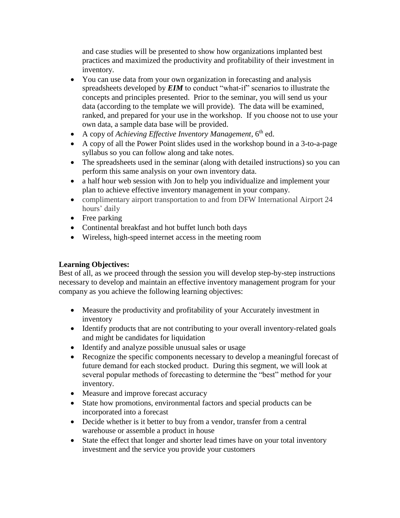and case studies will be presented to show how organizations implanted best practices and maximized the productivity and profitability of their investment in inventory.

- You can use data from your own organization in forecasting and analysis spreadsheets developed by *EIM* to conduct "what-if" scenarios to illustrate the concepts and principles presented. Prior to the seminar, you will send us your data (according to the template we will provide). The data will be examined, ranked, and prepared for your use in the workshop. If you choose not to use your own data, a sample data base will be provided.
- A copy of *Achieving Effective Inventory Management*, 6<sup>th</sup> ed.
- A copy of all the Power Point slides used in the workshop bound in a 3-to-a-page syllabus so you can follow along and take notes.
- The spreadsheets used in the seminar (along with detailed instructions) so you can perform this same analysis on your own inventory data.
- a half hour web session with Jon to help you individualize and implement your plan to achieve effective inventory management in your company.
- complimentary airport transportation to and from DFW International Airport 24 hours' daily
- Free parking
- Continental breakfast and hot buffet lunch both days
- Wireless, high-speed internet access in the meeting room

## **Learning Objectives:**

Best of all, as we proceed through the session you will develop step-by-step instructions necessary to develop and maintain an effective inventory management program for your company as you achieve the following learning objectives:

- Measure the productivity and profitability of your Accurately investment in inventory
- Identify products that are not contributing to your overall inventory-related goals and might be candidates for liquidation
- Identify and analyze possible unusual sales or usage
- Recognize the specific components necessary to develop a meaningful forecast of future demand for each stocked product. During this segment, we will look at several popular methods of forecasting to determine the "best" method for your inventory.
- Measure and improve forecast accuracy
- State how promotions, environmental factors and special products can be incorporated into a forecast
- Decide whether is it better to buy from a vendor, transfer from a central warehouse or assemble a product in house
- State the effect that longer and shorter lead times have on your total inventory investment and the service you provide your customers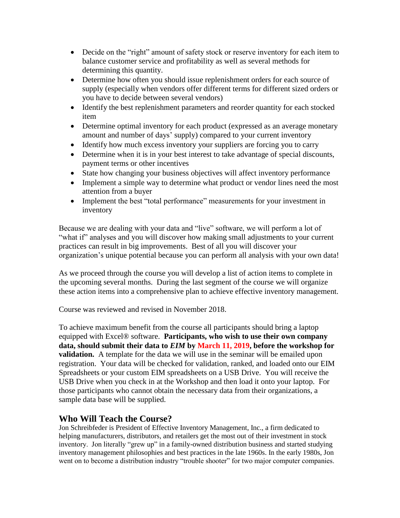- Decide on the "right" amount of safety stock or reserve inventory for each item to balance customer service and profitability as well as several methods for determining this quantity.
- Determine how often you should issue replenishment orders for each source of supply (especially when vendors offer different terms for different sized orders or you have to decide between several vendors)
- Identify the best replenishment parameters and reorder quantity for each stocked item
- Determine optimal inventory for each product (expressed as an average monetary amount and number of days' supply) compared to your current inventory
- Identify how much excess inventory your suppliers are forcing you to carry
- Determine when it is in your best interest to take advantage of special discounts, payment terms or other incentives
- State how changing your business objectives will affect inventory performance
- Implement a simple way to determine what product or vendor lines need the most attention from a buyer
- Implement the best "total performance" measurements for your investment in inventory

Because we are dealing with your data and "live" software, we will perform a lot of "what if" analyses and you will discover how making small adjustments to your current practices can result in big improvements. Best of all you will discover your organization's unique potential because you can perform all analysis with your own data!

As we proceed through the course you will develop a list of action items to complete in the upcoming several months. During the last segment of the course we will organize these action items into a comprehensive plan to achieve effective inventory management.

Course was reviewed and revised in November 2018.

To achieve maximum benefit from the course all participants should bring a laptop equipped with Excel® software. **Participants, who wish to use their own company data, should submit their data to** *EIM* **by March 11, 2019, before the workshop for validation.** A template for the data we will use in the seminar will be emailed upon registration. Your data will be checked for validation, ranked, and loaded onto our EIM Spreadsheets or your custom EIM spreadsheets on a USB Drive. You will receive the USB Drive when you check in at the Workshop and then load it onto your laptop. For those participants who cannot obtain the necessary data from their organizations, a sample data base will be supplied.

## **Who Will Teach the Course?**

Jon Schreibfeder is President of Effective Inventory Management, Inc., a firm dedicated to helping manufacturers, distributors, and retailers get the most out of their investment in stock inventory. Jon literally "grew up" in a family-owned distribution business and started studying inventory management philosophies and best practices in the late 1960s. In the early 1980s, Jon went on to become a distribution industry "trouble shooter" for two major computer companies.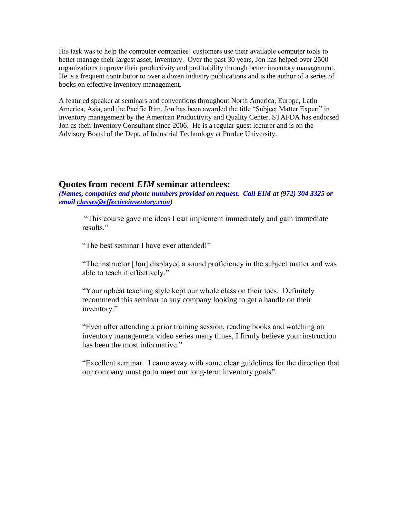His task was to help the computer companies' customers use their available computer tools to better manage their largest asset, inventory. Over the past 30 years, Jon has helped over 2500 organizations improve their productivity and profitability through better inventory management. He is a frequent contributor to over a dozen industry publications and is the author of a series of books on effective inventory management.

A featured speaker at seminars and conventions throughout North America, Europe, Latin America, Asia, and the Pacific Rim, Jon has been awarded the title "Subject Matter Expert" in inventory management by the American Productivity and Quality Center. STAFDA has endorsed Jon as their Inventory Consultant since 2006. He is a regular guest lecturer and is on the Advisory Board of the Dept. of Industrial Technology at Purdue University.

#### **Quotes from recent** *EIM* **seminar attendees:**

*(Names, companies and phone numbers provided on request. Call EIM at (972) 304 3325 or email [classes@effectiveinventory.com\)](mailto:classes@effectiveinventory.com)*

"This course gave me ideas I can implement immediately and gain immediate results."

"The best seminar I have ever attended!"

"The instructor [Jon] displayed a sound proficiency in the subject matter and was able to teach it effectively."

"Your upbeat teaching style kept our whole class on their toes. Definitely recommend this seminar to any company looking to get a handle on their inventory."

"Even after attending a prior training session, reading books and watching an inventory management video series many times, I firmly believe your instruction has been the most informative."

"Excellent seminar. I came away with some clear guidelines for the direction that our company must go to meet our long-term inventory goals".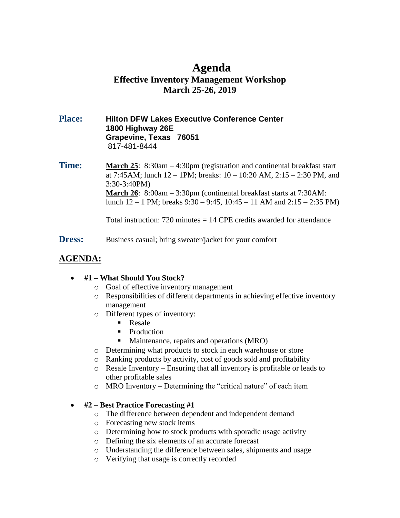# **Agenda Effective Inventory Management Workshop March 25-26, 2019**

#### **Place: Hilton DFW Lakes Executive Conference Center 1800 Highway 26E Grapevine, Texas 76051** 817-481-8444

**Time: March 25**: 8:30am – 4:30pm (registration and continental breakfast start at 7:45AM; lunch 12 – 1PM; breaks: 10 – 10:20 AM, 2:15 – 2:30 PM, and 3:30-3:40PM) **March 26**: 8:00am – 3:30pm (continental breakfast starts at 7:30AM: lunch  $12 - 1$  PM; breaks  $9:30 - 9:45$ ,  $10:45 - 11$  AM and  $2:15 - 2:35$  PM)

Total instruction:  $720$  minutes  $= 14$  CPE credits awarded for attendance

**Dress:** Business casual; bring sweater/jacket for your comfort

# **AGENDA:**

#### **#1 – What Should You Stock?**

- o Goal of effective inventory management
- o Responsibilities of different departments in achieving effective inventory management
- o Different types of inventory:
	- Resale
	- Production
	- Maintenance, repairs and operations (MRO)
- o Determining what products to stock in each warehouse or store
- o Ranking products by activity, cost of goods sold and profitability
- o Resale Inventory Ensuring that all inventory is profitable or leads to other profitable sales
- o MRO Inventory Determining the "critical nature" of each item

#### **#2 – Best Practice Forecasting #1**

- o The difference between dependent and independent demand
- o Forecasting new stock items
- o Determining how to stock products with sporadic usage activity
- o Defining the six elements of an accurate forecast
- o Understanding the difference between sales, shipments and usage
- o Verifying that usage is correctly recorded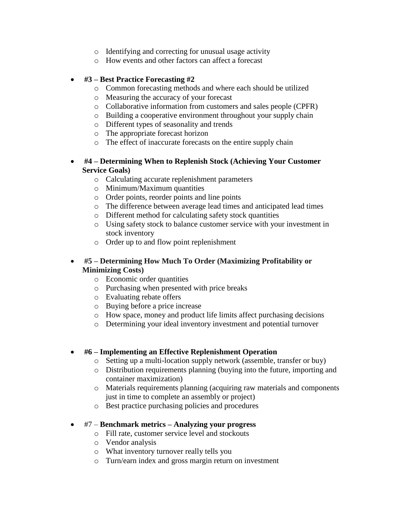- o Identifying and correcting for unusual usage activity
- o How events and other factors can affect a forecast

#### **#3 – Best Practice Forecasting #2**

- o Common forecasting methods and where each should be utilized
- o Measuring the accuracy of your forecast
- o Collaborative information from customers and sales people (CPFR)
- o Building a cooperative environment throughout your supply chain
- o Different types of seasonality and trends
- o The appropriate forecast horizon
- o The effect of inaccurate forecasts on the entire supply chain
- **#4 – Determining When to Replenish Stock (Achieving Your Customer Service Goals)**
	- o Calculating accurate replenishment parameters
	- o Minimum/Maximum quantities
	- o Order points, reorder points and line points
	- o The difference between average lead times and anticipated lead times
	- o Different method for calculating safety stock quantities
	- o Using safety stock to balance customer service with your investment in stock inventory
	- o Order up to and flow point replenishment

#### **#5 – Determining How Much To Order (Maximizing Profitability or Minimizing Costs)**

- o Economic order quantities
- o Purchasing when presented with price breaks
- o Evaluating rebate offers
- o Buying before a price increase
- o How space, money and product life limits affect purchasing decisions
- o Determining your ideal inventory investment and potential turnover

#### **#6 – Implementing an Effective Replenishment Operation**

- o Setting up a multi-location supply network (assemble, transfer or buy)
- o Distribution requirements planning (buying into the future, importing and container maximization)
- o Materials requirements planning (acquiring raw materials and components just in time to complete an assembly or project)
- o Best practice purchasing policies and procedures

#### #7 – **Benchmark metrics – Analyzing your progress**

- o Fill rate, customer service level and stockouts
- o Vendor analysis
- o What inventory turnover really tells you
- o Turn/earn index and gross margin return on investment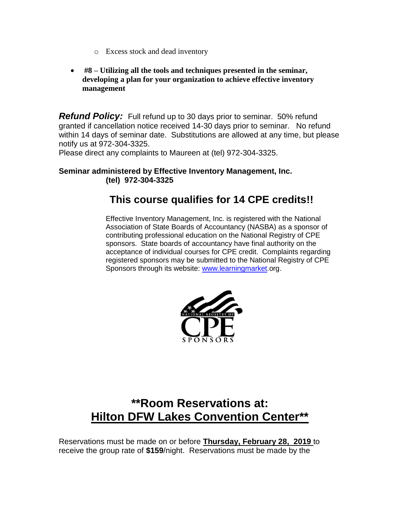- o Excess stock and dead inventory
- **#8 – Utilizing all the tools and techniques presented in the seminar, developing a plan for your organization to achieve effective inventory management**

*Refund Policy:* Full refund up to 30 days prior to seminar. 50% refund granted if cancellation notice received 14-30 days prior to seminar. No refund within 14 days of seminar date. Substitutions are allowed at any time, but please notify us at 972-304-3325.

Please direct any complaints to Maureen at (tel) 972-304-3325.

#### **Seminar administered by Effective Inventory Management, Inc. (tel) 972-304-3325**

# **This course qualifies for 14 CPE credits!!**

Effective Inventory Management, Inc. is registered with the National Association of State Boards of Accountancy (NASBA) as a sponsor of contributing professional education on the National Registry of CPE sponsors. State boards of accountancy have final authority on the acceptance of individual courses for CPE credit. Complaints regarding registered sponsors may be submitted to the National Registry of CPE Sponsors through its website: [www.learningmarket.](http://www.learningmarket/)org.



# **\*\*Room Reservations at: Hilton DFW Lakes Convention Center\*\***

Reservations must be made on or before **Thursday, February 28, 2019** to receive the group rate of **\$159**/night. Reservations must be made by the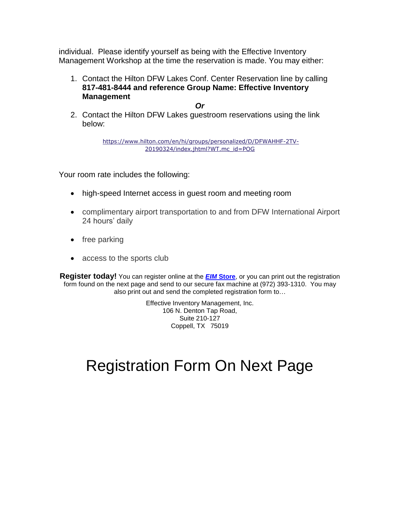individual. Please identify yourself as being with the Effective Inventory Management Workshop at the time the reservation is made. You may either:

1. Contact the Hilton DFW Lakes Conf. Center Reservation line by calling **817-481-8444 and reference Group Name: Effective Inventory Management**

*Or*

2. Contact the Hilton DFW Lakes guestroom reservations using the link below:

> [https://www.hilton.com/en/hi/groups/personalized/D/DFWAHHF-2TV-](https://na01.safelinks.protection.outlook.com/?url=https%3A%2F%2Fwww.hilton.com%2Fen%2Fhi%2Fgroups%2Fpersonalized%2FD%2FDFWAHHF-2TV-20190324%2Findex.jhtml%3FWT.mc_id%3DPOG&data=02%7C01%7CCamille.Aguilo%40hilton.com%7C2a9a7d32fdd9418349a608d64ef072d5%7C660292d2cfd54a3db7a7e8f7ee458a0a%7C0%7C0%7C636783191947955096&sdata=O7OldwWmzx8RWv8izN6PCH819pXMyvmRZ6Ksx0xQcNk%3D&reserved=0)[20190324/index.jhtml?WT.mc\\_id=POG](https://na01.safelinks.protection.outlook.com/?url=https%3A%2F%2Fwww.hilton.com%2Fen%2Fhi%2Fgroups%2Fpersonalized%2FD%2FDFWAHHF-2TV-20190324%2Findex.jhtml%3FWT.mc_id%3DPOG&data=02%7C01%7CCamille.Aguilo%40hilton.com%7C2a9a7d32fdd9418349a608d64ef072d5%7C660292d2cfd54a3db7a7e8f7ee458a0a%7C0%7C0%7C636783191947955096&sdata=O7OldwWmzx8RWv8izN6PCH819pXMyvmRZ6Ksx0xQcNk%3D&reserved=0)

Your room rate includes the following:

- high-speed Internet access in guest room and meeting room
- complimentary airport transportation to and from DFW International Airport 24 hours' daily
- $\bullet$  free parking
- access to the sports club

**Register today!** You can register online at the *EIM* **[Store](http://www.effectiveinventory.com/store.html)**, or you can print out the registration form found on the next page and send to our secure fax machine at (972) 393-1310. You may also print out and send the completed registration form to…

> Effective Inventory Management, Inc. 106 N. Denton Tap Road, Suite 210-127 Coppell, TX 75019

# Registration Form On Next Page